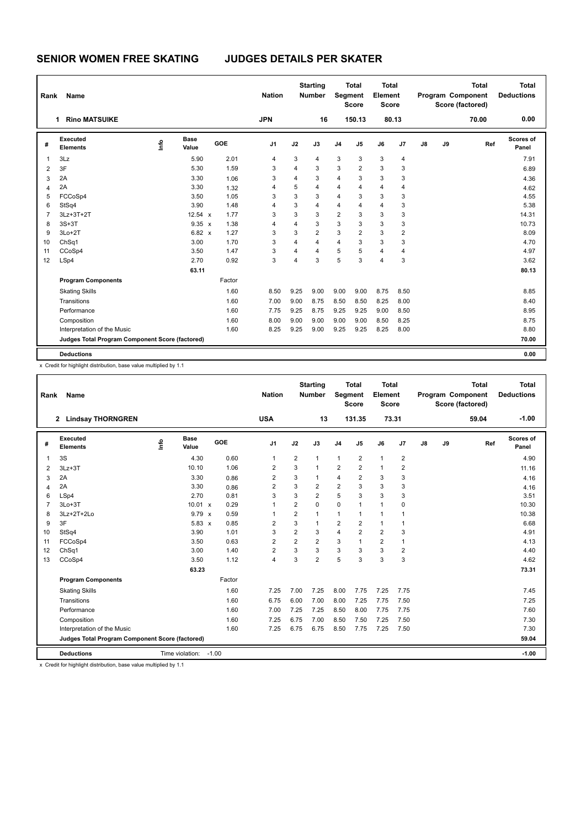| Rank           | <b>Name</b>                                     |      |                      |        | <b>Nation</b>  |      | <b>Starting</b><br><b>Number</b> | <b>Segment</b> | <b>Total</b><br><b>Score</b> | <b>Total</b><br>Element<br><b>Score</b> |       |               |    | <b>Total</b><br>Program Component<br>Score (factored) | <b>Total</b><br><b>Deductions</b> |
|----------------|-------------------------------------------------|------|----------------------|--------|----------------|------|----------------------------------|----------------|------------------------------|-----------------------------------------|-------|---------------|----|-------------------------------------------------------|-----------------------------------|
|                | <b>Rino MATSUIKE</b><br>1.                      |      |                      |        | <b>JPN</b>     |      | 16                               |                | 150.13                       |                                         | 80.13 |               |    | 70.00                                                 | 0.00                              |
| #              | Executed<br><b>Elements</b>                     | ١mfo | <b>Base</b><br>Value | GOE    | J <sub>1</sub> | J2   | J3                               | J <sub>4</sub> | J <sub>5</sub>               | J6                                      | J7    | $\mathsf{J}8$ | J9 | Ref                                                   | <b>Scores of</b><br>Panel         |
| $\overline{1}$ | 3Lz                                             |      | 5.90                 | 2.01   | 4              | 3    | 4                                | 3              | 3                            | 3                                       | 4     |               |    |                                                       | 7.91                              |
| $\overline{2}$ | 3F                                              |      | 5.30                 | 1.59   | 3              | 4    | 3                                | 3              | $\overline{2}$               | 3                                       | 3     |               |    |                                                       | 6.89                              |
| 3              | 2A                                              |      | 3.30                 | 1.06   | 3              | 4    | 3                                | $\overline{4}$ | 3                            | 3                                       | 3     |               |    |                                                       | 4.36                              |
| 4              | 2A                                              |      | 3.30                 | 1.32   | 4              | 5    | $\overline{4}$                   | $\overline{4}$ | 4                            | $\overline{4}$                          | 4     |               |    |                                                       | 4.62                              |
| 5              | FCCoSp4                                         |      | 3.50                 | 1.05   | 3              | 3    | 3                                | $\overline{4}$ | 3                            | 3                                       | 3     |               |    |                                                       | 4.55                              |
| 6              | StSq4                                           |      | 3.90                 | 1.48   | 4              | 3    | $\overline{4}$                   | $\overline{4}$ | 4                            | $\overline{4}$                          | 3     |               |    |                                                       | 5.38                              |
| $\overline{7}$ | 3Lz+3T+2T                                       |      | $12.54 \times$       | 1.77   | 3              | 3    | 3                                | $\overline{2}$ | 3                            | 3                                       | 3     |               |    |                                                       | 14.31                             |
| 8              | $3S+3T$                                         |      | $9.35 \times$        | 1.38   | 4              | 4    | 3                                | 3              | 3                            | 3                                       | 3     |               |    |                                                       | 10.73                             |
| 9              | $3Lo+2T$                                        |      | $6.82 \times$        | 1.27   | 3              | 3    | $\overline{2}$                   | 3              | $\overline{2}$               | 3                                       | 2     |               |    |                                                       | 8.09                              |
| 10             | ChSq1                                           |      | 3.00                 | 1.70   | 3              | 4    | $\overline{4}$                   | $\overline{4}$ | 3                            | 3                                       | 3     |               |    |                                                       | 4.70                              |
| 11             | CCoSp4                                          |      | 3.50                 | 1.47   | 3              | 4    | $\overline{4}$                   | 5              | 5                            | $\overline{4}$                          | 4     |               |    |                                                       | 4.97                              |
| 12             | LSp4                                            |      | 2.70                 | 0.92   | 3              | 4    | 3                                | 5              | 3                            | $\overline{4}$                          | 3     |               |    |                                                       | 3.62                              |
|                |                                                 |      | 63.11                |        |                |      |                                  |                |                              |                                         |       |               |    |                                                       | 80.13                             |
|                | <b>Program Components</b>                       |      |                      | Factor |                |      |                                  |                |                              |                                         |       |               |    |                                                       |                                   |
|                | <b>Skating Skills</b>                           |      |                      | 1.60   | 8.50           | 9.25 | 9.00                             | 9.00           | 9.00                         | 8.75                                    | 8.50  |               |    |                                                       | 8.85                              |
|                | Transitions                                     |      |                      | 1.60   | 7.00           | 9.00 | 8.75                             | 8.50           | 8.50                         | 8.25                                    | 8.00  |               |    |                                                       | 8.40                              |
|                | Performance                                     |      |                      | 1.60   | 7.75           | 9.25 | 8.75                             | 9.25           | 9.25                         | 9.00                                    | 8.50  |               |    |                                                       | 8.95                              |
|                | Composition                                     |      |                      | 1.60   | 8.00           | 9.00 | 9.00                             | 9.00           | 9.00                         | 8.50                                    | 8.25  |               |    |                                                       | 8.75                              |
|                | Interpretation of the Music                     |      |                      | 1.60   | 8.25           | 9.25 | 9.00                             | 9.25           | 9.25                         | 8.25                                    | 8.00  |               |    |                                                       | 8.80                              |
|                | Judges Total Program Component Score (factored) |      |                      |        |                |      |                                  |                |                              |                                         |       |               |    |                                                       | 70.00                             |
|                | <b>Deductions</b>                               |      |                      |        |                |      |                                  |                |                              |                                         |       |               |    |                                                       | 0.00                              |

x Credit for highlight distribution, base value multiplied by 1.1

| Rank           | Name                                            |      |                 |         |      | <b>Nation</b>  |                | <b>Starting</b><br><b>Number</b> | Segment        | <b>Total</b><br><b>Score</b> | <b>Total</b><br>Element<br><b>Score</b> |                |               |    | <b>Total</b><br>Program Component<br>Score (factored) | <b>Total</b><br><b>Deductions</b> |
|----------------|-------------------------------------------------|------|-----------------|---------|------|----------------|----------------|----------------------------------|----------------|------------------------------|-----------------------------------------|----------------|---------------|----|-------------------------------------------------------|-----------------------------------|
|                | 2 Lindsay THORNGREN                             |      |                 |         |      | <b>USA</b>     |                | 13                               |                | 131.35                       | 73.31                                   |                |               |    | 59.04                                                 | $-1.00$                           |
| #              | Executed<br><b>Elements</b>                     | lnfo | Base<br>Value   | GOE     |      | J <sub>1</sub> | J2             | J3                               | J <sub>4</sub> | J <sub>5</sub>               | J6                                      | J <sub>7</sub> | $\mathsf{J}8$ | J9 | Ref                                                   | <b>Scores of</b><br>Panel         |
| $\overline{1}$ | 3S                                              |      | 4.30            |         | 0.60 | $\mathbf{1}$   | $\overline{2}$ | $\mathbf{1}$                     | $\mathbf{1}$   | 2                            | $\mathbf{1}$                            | $\overline{2}$ |               |    |                                                       | 4.90                              |
| 2              | $3Lz + 3T$                                      |      | 10.10           |         | 1.06 | 2              | 3              | $\mathbf{1}$                     | $\overline{2}$ | $\overline{2}$               | $\mathbf{1}$                            | $\overline{2}$ |               |    |                                                       | 11.16                             |
| 3              | 2A                                              |      | 3.30            |         | 0.86 | $\overline{2}$ | 3              | $\mathbf{1}$                     | $\overline{4}$ | $\overline{2}$               | 3                                       | 3              |               |    |                                                       | 4.16                              |
| 4              | 2A                                              |      | 3.30            |         | 0.86 | 2              | 3              | 2                                | $\overline{2}$ | 3                            | 3                                       | 3              |               |    |                                                       | 4.16                              |
| 6              | LSp4                                            |      | 2.70            |         | 0.81 | 3              | 3              | $\overline{2}$                   | 5              | 3                            | 3                                       | 3              |               |    |                                                       | 3.51                              |
| $\overline{7}$ | $3Lo+3T$                                        |      | $10.01 \times$  |         | 0.29 | 1              | $\overline{2}$ | $\Omega$                         | $\mathbf 0$    | $\overline{1}$               | $\overline{1}$                          | 0              |               |    |                                                       | 10.30                             |
| 8              | $3Lz+2T+2Lo$                                    |      | $9.79 \times$   |         | 0.59 | 1              | $\overline{2}$ | 1                                | $\mathbf{1}$   | $\mathbf{1}$                 | $\mathbf{1}$                            | 1              |               |    |                                                       | 10.38                             |
| 9              | 3F                                              |      | $5.83 \times$   |         | 0.85 | $\overline{2}$ | 3              | $\mathbf{1}$                     | $\overline{2}$ | $\overline{2}$               | $\mathbf{1}$                            | 1              |               |    |                                                       | 6.68                              |
| 10             | StSq4                                           |      | 3.90            |         | 1.01 | 3              | $\overline{2}$ | 3                                | $\overline{4}$ | $\overline{2}$               | $\overline{2}$                          | 3              |               |    |                                                       | 4.91                              |
| 11             | FCCoSp4                                         |      | 3.50            |         | 0.63 | $\overline{2}$ | $\overline{2}$ | $\overline{2}$                   | 3              | $\mathbf{1}$                 | $\overline{2}$                          | 1              |               |    |                                                       | 4.13                              |
| 12             | ChSq1                                           |      | 3.00            |         | 1.40 | $\overline{2}$ | 3              | 3                                | 3              | 3                            | 3                                       | $\overline{2}$ |               |    |                                                       | 4.40                              |
| 13             | CCoSp4                                          |      | 3.50            |         | 1.12 | $\overline{4}$ | 3              | $\overline{2}$                   | 5              | 3                            | 3                                       | 3              |               |    |                                                       | 4.62                              |
|                |                                                 |      | 63.23           |         |      |                |                |                                  |                |                              |                                         |                |               |    |                                                       | 73.31                             |
|                | <b>Program Components</b>                       |      |                 | Factor  |      |                |                |                                  |                |                              |                                         |                |               |    |                                                       |                                   |
|                | <b>Skating Skills</b>                           |      |                 |         | 1.60 | 7.25           | 7.00           | 7.25                             | 8.00           | 7.75                         | 7.25                                    | 7.75           |               |    |                                                       | 7.45                              |
|                | Transitions                                     |      |                 |         | 1.60 | 6.75           | 6.00           | 7.00                             | 8.00           | 7.25                         | 7.75                                    | 7.50           |               |    |                                                       | 7.25                              |
|                | Performance                                     |      |                 |         | 1.60 | 7.00           | 7.25           | 7.25                             | 8.50           | 8.00                         | 7.75                                    | 7.75           |               |    |                                                       | 7.60                              |
|                | Composition                                     |      |                 |         | 1.60 | 7.25           | 6.75           | 7.00                             | 8.50           | 7.50                         | 7.25                                    | 7.50           |               |    |                                                       | 7.30                              |
|                | Interpretation of the Music                     |      |                 |         | 1.60 | 7.25           | 6.75           | 6.75                             | 8.50           | 7.75                         | 7.25                                    | 7.50           |               |    |                                                       | 7.30                              |
|                | Judges Total Program Component Score (factored) |      |                 |         |      |                |                |                                  |                |                              |                                         |                |               |    |                                                       | 59.04                             |
|                | <b>Deductions</b>                               |      | Time violation: | $-1.00$ |      |                |                |                                  |                |                              |                                         |                |               |    |                                                       | $-1.00$                           |

x Credit for highlight distribution, base value multiplied by 1.1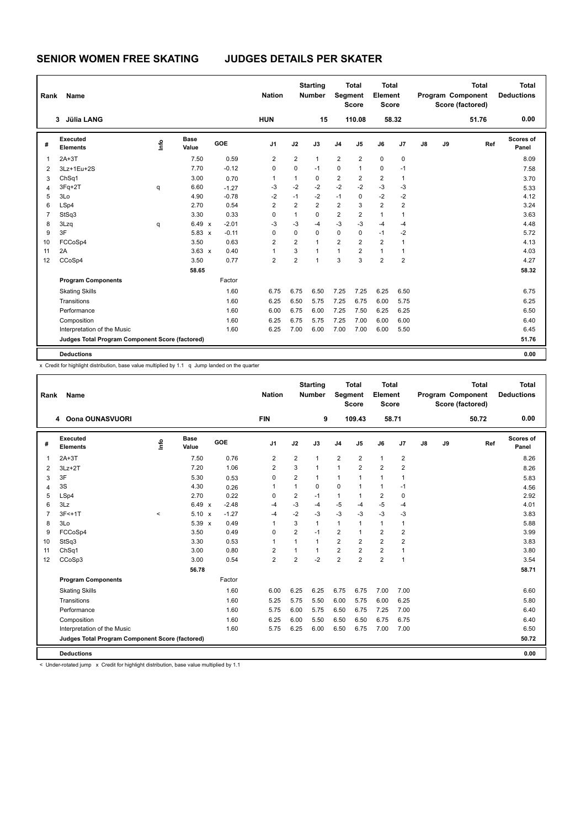| Rank           | Name                                            |      |                      |         | <b>Nation</b>  |                | <b>Starting</b><br><b>Number</b> | Segment        | <b>Total</b><br><b>Score</b> | <b>Total</b><br>Element<br><b>Score</b> |                |               |    | <b>Total</b><br><b>Program Component</b><br>Score (factored) | <b>Total</b><br><b>Deductions</b> |
|----------------|-------------------------------------------------|------|----------------------|---------|----------------|----------------|----------------------------------|----------------|------------------------------|-----------------------------------------|----------------|---------------|----|--------------------------------------------------------------|-----------------------------------|
|                | <b>Jülia LANG</b><br>3                          |      |                      |         | <b>HUN</b>     |                | 15                               |                | 110.08                       |                                         | 58.32          |               |    | 51.76                                                        | 0.00                              |
| #              | Executed<br><b>Elements</b>                     | lnfo | <b>Base</b><br>Value | GOE     | J <sub>1</sub> | J2             | J3                               | J <sub>4</sub> | J <sub>5</sub>               | J6                                      | J <sub>7</sub> | $\mathsf{J}8$ | J9 | Ref                                                          | Scores of<br>Panel                |
| 1              | $2A+3T$                                         |      | 7.50                 | 0.59    | $\overline{2}$ | $\overline{2}$ | $\mathbf{1}$                     | $\overline{2}$ | $\overline{2}$               | 0                                       | 0              |               |    |                                                              | 8.09                              |
| 2              | 3Lz+1Eu+2S                                      |      | 7.70                 | $-0.12$ | 0              | $\mathbf 0$    | $-1$                             | $\mathbf 0$    | 1                            | $\mathbf 0$                             | $-1$           |               |    |                                                              | 7.58                              |
| 3              | ChSq1                                           |      | 3.00                 | 0.70    | 1              | 1              | 0                                | 2              | $\overline{2}$               | $\overline{2}$                          | 1              |               |    |                                                              | 3.70                              |
| 4              | $3Fq+2T$                                        | q    | 6.60                 | $-1.27$ | $-3$           | $-2$           | $-2$                             | $-2$           | $-2$                         | $-3$                                    | $-3$           |               |    |                                                              | 5.33                              |
| 5              | 3Lo                                             |      | 4.90                 | $-0.78$ | $-2$           | $-1$           | $-2$                             | $-1$           | $\Omega$                     | $-2$                                    | $-2$           |               |    |                                                              | 4.12                              |
| 6              | LSp4                                            |      | 2.70                 | 0.54    | 2              | $\overline{2}$ | $\overline{2}$                   | 2              | 3                            | $\overline{2}$                          | 2              |               |    |                                                              | 3.24                              |
| $\overline{7}$ | StSq3                                           |      | 3.30                 | 0.33    | 0              | $\mathbf{1}$   | $\Omega$                         | 2              | $\overline{2}$               | $\mathbf{1}$                            | 1              |               |    |                                                              | 3.63                              |
| 8              | 3Lzq                                            | q    | 6.49 x               | $-2.01$ | -3             | $-3$           | -4                               | $-3$           | $-3$                         | -4                                      | -4             |               |    |                                                              | 4.48                              |
| 9              | 3F                                              |      | $5.83 \times$        | $-0.11$ | $\Omega$       | $\Omega$       | $\mathbf 0$                      | $\mathbf 0$    | $\mathbf 0$                  | $-1$                                    | $-2$           |               |    |                                                              | 5.72                              |
| 10             | FCCoSp4                                         |      | 3.50                 | 0.63    | $\overline{2}$ | $\overline{2}$ | $\mathbf{1}$                     | $\overline{2}$ | $\overline{2}$               | $\overline{2}$                          | 1              |               |    |                                                              | 4.13                              |
| 11             | 2A                                              |      | $3.63 \times$        | 0.40    | 1              | 3              | 1                                | 1              | 2                            | $\mathbf{1}$                            | 1              |               |    |                                                              | 4.03                              |
| 12             | CCoSp4                                          |      | 3.50                 | 0.77    | $\overline{2}$ | $\overline{2}$ | $\overline{1}$                   | 3              | 3                            | $\overline{2}$                          | $\overline{2}$ |               |    |                                                              | 4.27                              |
|                |                                                 |      | 58.65                |         |                |                |                                  |                |                              |                                         |                |               |    |                                                              | 58.32                             |
|                | <b>Program Components</b>                       |      |                      | Factor  |                |                |                                  |                |                              |                                         |                |               |    |                                                              |                                   |
|                | <b>Skating Skills</b>                           |      |                      | 1.60    | 6.75           | 6.75           | 6.50                             | 7.25           | 7.25                         | 6.25                                    | 6.50           |               |    |                                                              | 6.75                              |
|                | Transitions                                     |      |                      | 1.60    | 6.25           | 6.50           | 5.75                             | 7.25           | 6.75                         | 6.00                                    | 5.75           |               |    |                                                              | 6.25                              |
|                | Performance                                     |      |                      | 1.60    | 6.00           | 6.75           | 6.00                             | 7.25           | 7.50                         | 6.25                                    | 6.25           |               |    |                                                              | 6.50                              |
|                | Composition                                     |      |                      | 1.60    | 6.25           | 6.75           | 5.75                             | 7.25           | 7.00                         | 6.00                                    | 6.00           |               |    |                                                              | 6.40                              |
|                | Interpretation of the Music                     |      |                      | 1.60    | 6.25           | 7.00           | 6.00                             | 7.00           | 7.00                         | 6.00                                    | 5.50           |               |    |                                                              | 6.45                              |
|                | Judges Total Program Component Score (factored) |      |                      |         |                |                |                                  |                |                              |                                         |                |               |    |                                                              | 51.76                             |
|                | <b>Deductions</b>                               |      |                      |         |                |                |                                  |                |                              |                                         |                |               |    |                                                              | 0.00                              |

x Credit for highlight distribution, base value multiplied by 1.1 q Jump landed on the quarter

| Rank           | Name                                            |         |                      |         | <b>Nation</b>  |                | <b>Starting</b><br><b>Number</b> | Segment        | <b>Total</b><br><b>Score</b> | <b>Total</b><br>Element<br><b>Score</b> |                |    |    | <b>Total</b><br>Program Component<br>Score (factored) | <b>Total</b><br><b>Deductions</b> |
|----------------|-------------------------------------------------|---------|----------------------|---------|----------------|----------------|----------------------------------|----------------|------------------------------|-----------------------------------------|----------------|----|----|-------------------------------------------------------|-----------------------------------|
|                | 4 Oona OUNASVUORI                               |         |                      |         | <b>FIN</b>     |                | 9                                |                | 109.43                       | 58.71                                   |                |    |    | 50.72                                                 | 0.00                              |
| #              | Executed<br><b>Elements</b>                     | lnfo    | Base<br>Value        | GOE     | J1             | J2             | J3                               | J <sub>4</sub> | J5                           | J6                                      | J7             | J8 | J9 | Ref                                                   | <b>Scores of</b><br>Panel         |
| 1              | $2A+3T$                                         |         | 7.50                 | 0.76    | 2              | $\overline{2}$ | $\mathbf{1}$                     | $\overline{2}$ | $\overline{2}$               | $\mathbf{1}$                            | $\overline{2}$ |    |    |                                                       | 8.26                              |
| 2              | $3Lz + 2T$                                      |         | 7.20                 | 1.06    | 2              | 3              | 1                                | $\mathbf{1}$   | $\overline{2}$               | $\overline{2}$                          | $\overline{2}$ |    |    |                                                       | 8.26                              |
| 3              | 3F                                              |         | 5.30                 | 0.53    | $\mathbf 0$    | $\overline{2}$ | 1                                | 1              | 1                            | $\mathbf{1}$                            | 1              |    |    |                                                       | 5.83                              |
| $\overline{4}$ | 3S                                              |         | 4.30                 | 0.26    | 1              | $\mathbf{1}$   | $\mathbf 0$                      | $\mathbf 0$    | $\mathbf{1}$                 | $\mathbf{1}$                            | $-1$           |    |    |                                                       | 4.56                              |
| 5              | LSp4                                            |         | 2.70                 | 0.22    | 0              | $\overline{2}$ | $-1$                             | $\mathbf{1}$   | 1                            | $\overline{\mathbf{c}}$                 | 0              |    |    |                                                       | 2.92                              |
| 6              | 3Lz                                             |         | $6.49 \times$        | $-2.48$ | $-4$           | $-3$           | $-4$                             | $-5$           | $-4$                         | $-5$                                    | $-4$           |    |    |                                                       | 4.01                              |
| $\overline{7}$ | $3F<+1T$                                        | $\prec$ | 5.10<br>$\mathbf{x}$ | $-1.27$ | -4             | $-2$           | $-3$                             | $-3$           | $-3$                         | $-3$                                    | $-3$           |    |    |                                                       | 3.83                              |
| 8              | 3Lo                                             |         | 5.39<br>$\mathbf{x}$ | 0.49    | 1              | 3              | $\mathbf{1}$                     | $\mathbf{1}$   | 1                            | $\mathbf{1}$                            | 1              |    |    |                                                       | 5.88                              |
| 9              | FCCoSp4                                         |         | 3.50                 | 0.49    | 0              | $\overline{2}$ | $-1$                             | $\overline{2}$ | $\mathbf{1}$                 | $\overline{2}$                          | $\overline{2}$ |    |    |                                                       | 3.99                              |
| 10             | StSq3                                           |         | 3.30                 | 0.53    | 1              | 1              | $\mathbf{1}$                     | $\overline{2}$ | $\overline{2}$               | $\overline{2}$                          | $\overline{2}$ |    |    |                                                       | 3.83                              |
| 11             | ChSq1                                           |         | 3.00                 | 0.80    | 2              | 1              | 1                                | $\overline{2}$ | $\overline{2}$               | $\overline{2}$                          | 1              |    |    |                                                       | 3.80                              |
| 12             | CCoSp3                                          |         | 3.00                 | 0.54    | $\overline{2}$ | $\overline{2}$ | $-2$                             | $\overline{2}$ | $\overline{2}$               | $\overline{2}$                          | $\mathbf{1}$   |    |    |                                                       | 3.54                              |
|                |                                                 |         | 56.78                |         |                |                |                                  |                |                              |                                         |                |    |    |                                                       | 58.71                             |
|                | <b>Program Components</b>                       |         |                      | Factor  |                |                |                                  |                |                              |                                         |                |    |    |                                                       |                                   |
|                | <b>Skating Skills</b>                           |         |                      | 1.60    | 6.00           | 6.25           | 6.25                             | 6.75           | 6.75                         | 7.00                                    | 7.00           |    |    |                                                       | 6.60                              |
|                | Transitions                                     |         |                      | 1.60    | 5.25           | 5.75           | 5.50                             | 6.00           | 5.75                         | 6.00                                    | 6.25           |    |    |                                                       | 5.80                              |
|                | Performance                                     |         |                      | 1.60    | 5.75           | 6.00           | 5.75                             | 6.50           | 6.75                         | 7.25                                    | 7.00           |    |    |                                                       | 6.40                              |
|                | Composition                                     |         |                      | 1.60    | 6.25           | 6.00           | 5.50                             | 6.50           | 6.50                         | 6.75                                    | 6.75           |    |    |                                                       | 6.40                              |
|                | Interpretation of the Music                     |         |                      | 1.60    | 5.75           | 6.25           | 6.00                             | 6.50           | 6.75                         | 7.00                                    | 7.00           |    |    |                                                       | 6.50                              |
|                | Judges Total Program Component Score (factored) |         |                      |         |                |                |                                  |                |                              |                                         |                |    |    |                                                       | 50.72                             |
|                | <b>Deductions</b>                               |         |                      |         |                |                |                                  |                |                              |                                         |                |    |    |                                                       | 0.00                              |

< Under-rotated jump x Credit for highlight distribution, base value multiplied by 1.1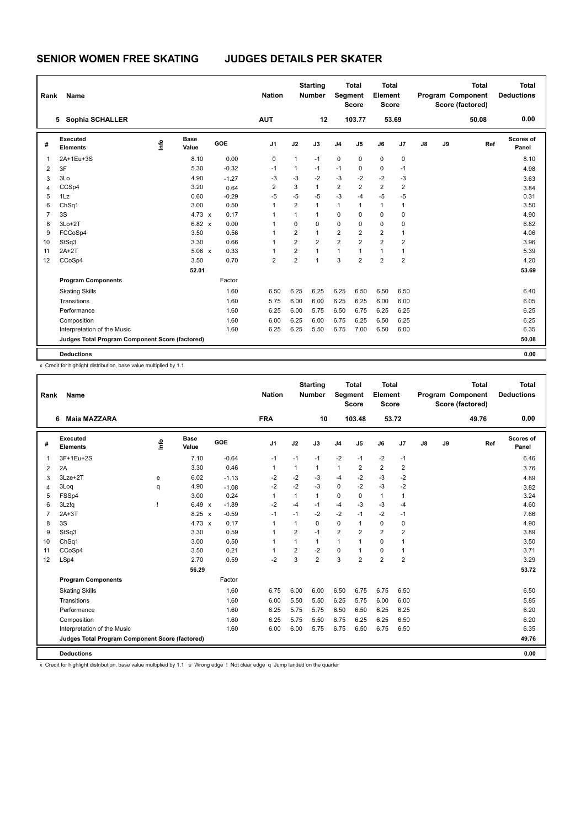| Rank           | <b>Name</b>                                     |      |               |         | <b>Nation</b>  |                | <b>Starting</b><br><b>Number</b> | Segment        | <b>Total</b><br><b>Score</b> | Total<br>Element<br><b>Score</b> |                |    |    | <b>Total</b><br>Program Component<br>Score (factored) | Total<br><b>Deductions</b> |
|----------------|-------------------------------------------------|------|---------------|---------|----------------|----------------|----------------------------------|----------------|------------------------------|----------------------------------|----------------|----|----|-------------------------------------------------------|----------------------------|
|                | Sophia SCHALLER<br>5                            |      |               |         | <b>AUT</b>     |                | 12                               |                | 103.77                       | 53.69                            |                |    |    | 50.08                                                 | 0.00                       |
| #              | Executed<br><b>Elements</b>                     | ١mfo | Base<br>Value | GOE     | J <sub>1</sub> | J2             | J3                               | J <sub>4</sub> | J <sub>5</sub>               | J6                               | J7             | J8 | J9 | Ref                                                   | Scores of<br>Panel         |
| $\overline{1}$ | 2A+1Eu+3S                                       |      | 8.10          | 0.00    | 0              | 1              | $-1$                             | $\pmb{0}$      | 0                            | $\mathbf 0$                      | 0              |    |    |                                                       | 8.10                       |
| $\overline{2}$ | 3F                                              |      | 5.30          | $-0.32$ | $-1$           | 1              | $-1$                             | $-1$           | 0                            | $\pmb{0}$                        | $-1$           |    |    |                                                       | 4.98                       |
| 3              | 3Lo                                             |      | 4.90          | $-1.27$ | $-3$           | $-3$           | $-2$                             | $-3$           | $-2$                         | $-2$                             | $-3$           |    |    |                                                       | 3.63                       |
| 4              | CCSp4                                           |      | 3.20          | 0.64    | $\overline{2}$ | 3              | $\mathbf{1}$                     | $\overline{2}$ | $\overline{2}$               | $\overline{2}$                   | $\overline{2}$ |    |    |                                                       | 3.84                       |
| 5              | 1Lz                                             |      | 0.60          | $-0.29$ | $-5$           | $-5$           | $-5$                             | $-3$           | $-4$                         | $-5$                             | $-5$           |    |    |                                                       | 0.31                       |
| 6              | ChSq1                                           |      | 3.00          | 0.50    | 1              | $\overline{2}$ | $\mathbf{1}$                     | $\mathbf{1}$   | 1                            | $\mathbf{1}$                     | 1              |    |    |                                                       | 3.50                       |
| $\overline{7}$ | 3S                                              |      | $4.73 \times$ | 0.17    | 1              | $\mathbf{1}$   | $\mathbf{1}$                     | $\Omega$       | $\Omega$                     | $\mathbf 0$                      | $\Omega$       |    |    |                                                       | 4.90                       |
| 8              | $3Lo+2T$                                        |      | $6.82 \times$ | 0.00    | 1              | $\mathbf 0$    | $\mathbf 0$                      | $\mathbf 0$    | 0                            | $\mathbf 0$                      | 0              |    |    |                                                       | 6.82                       |
| 9              | FCCoSp4                                         |      | 3.50          | 0.56    | 1              | $\overline{2}$ | $\mathbf{1}$                     | $\overline{2}$ | $\overline{2}$               | $\overline{2}$                   | $\overline{1}$ |    |    |                                                       | 4.06                       |
| 10             | StSq3                                           |      | 3.30          | 0.66    | 1              | $\overline{2}$ | $\overline{2}$                   | $\overline{2}$ | $\overline{2}$               | $\overline{2}$                   | 2              |    |    |                                                       | 3.96                       |
| 11             | $2A+2T$                                         |      | 5.06 x        | 0.33    | 1              | $\overline{2}$ | $\mathbf{1}$                     | $\mathbf{1}$   | 1                            | $\mathbf{1}$                     | 1              |    |    |                                                       | 5.39                       |
| 12             | CCoSp4                                          |      | 3.50          | 0.70    | $\overline{2}$ | $\overline{2}$ | $\overline{1}$                   | 3              | $\overline{2}$               | $\overline{2}$                   | $\overline{2}$ |    |    |                                                       | 4.20                       |
|                |                                                 |      | 52.01         |         |                |                |                                  |                |                              |                                  |                |    |    |                                                       | 53.69                      |
|                | <b>Program Components</b>                       |      |               | Factor  |                |                |                                  |                |                              |                                  |                |    |    |                                                       |                            |
|                | <b>Skating Skills</b>                           |      |               | 1.60    | 6.50           | 6.25           | 6.25                             | 6.25           | 6.50                         | 6.50                             | 6.50           |    |    |                                                       | 6.40                       |
|                | Transitions                                     |      |               | 1.60    | 5.75           | 6.00           | 6.00                             | 6.25           | 6.25                         | 6.00                             | 6.00           |    |    |                                                       | 6.05                       |
|                | Performance                                     |      |               | 1.60    | 6.25           | 6.00           | 5.75                             | 6.50           | 6.75                         | 6.25                             | 6.25           |    |    |                                                       | 6.25                       |
|                | Composition                                     |      |               | 1.60    | 6.00           | 6.25           | 6.00                             | 6.75           | 6.25                         | 6.50                             | 6.25           |    |    |                                                       | 6.25                       |
|                | Interpretation of the Music                     |      |               | 1.60    | 6.25           | 6.25           | 5.50                             | 6.75           | 7.00                         | 6.50                             | 6.00           |    |    |                                                       | 6.35                       |
|                | Judges Total Program Component Score (factored) |      |               |         |                |                |                                  |                |                              |                                  |                |    |    |                                                       | 50.08                      |
|                | <b>Deductions</b>                               |      |               |         |                |                |                                  |                |                              |                                  |                |    |    |                                                       | 0.00                       |

x Credit for highlight distribution, base value multiplied by 1.1

| Rank           | <b>Name</b>                                     |             |                      |         | <b>Nation</b>  |                | <b>Starting</b><br><b>Number</b> | Segment        | <b>Total</b><br><b>Score</b> | <b>Total</b><br>Element<br><b>Score</b> |                |               |    | <b>Total</b><br>Program Component<br>Score (factored) | <b>Total</b><br><b>Deductions</b> |
|----------------|-------------------------------------------------|-------------|----------------------|---------|----------------|----------------|----------------------------------|----------------|------------------------------|-----------------------------------------|----------------|---------------|----|-------------------------------------------------------|-----------------------------------|
|                | <b>Maia MAZZARA</b><br>6                        |             |                      |         | <b>FRA</b>     |                | 10                               |                | 103.48                       |                                         | 53.72          |               |    | 49.76                                                 | 0.00                              |
| #              | Executed<br><b>Elements</b>                     | <u>lnfo</u> | <b>Base</b><br>Value | GOE     | J <sub>1</sub> | J2             | J3                               | J <sub>4</sub> | J5                           | J6                                      | J7             | $\mathsf{J}8$ | J9 | Ref                                                   | <b>Scores of</b><br>Panel         |
| 1              | 3F+1Eu+2S                                       |             | 7.10                 | $-0.64$ | $-1$           | $-1$           | $-1$                             | $-2$           | $-1$                         | $-2$                                    | $-1$           |               |    |                                                       | 6.46                              |
| 2              | 2A                                              |             | 3.30                 | 0.46    | 1              | $\mathbf 1$    | $\mathbf{1}$                     | $\mathbf{1}$   | $\overline{2}$               | $\overline{2}$                          | $\overline{2}$ |               |    |                                                       | 3.76                              |
| 3              | 3Lze+2T                                         | e           | 6.02                 | $-1.13$ | $-2$           | $-2$           | $-3$                             | $-4$           | $-2$                         | $-3$                                    | $-2$           |               |    |                                                       | 4.89                              |
| 4              | 3Log                                            | q           | 4.90                 | $-1.08$ | $-2$           | $-2$           | $-3$                             | $\mathbf 0$    | $-2$                         | $-3$                                    | $-2$           |               |    |                                                       | 3.82                              |
| 5              | FSSp4                                           |             | 3.00                 | 0.24    | $\mathbf{1}$   | $\mathbf{1}$   | $\mathbf{1}$                     | $\mathbf 0$    | $\mathbf 0$                  | $\mathbf{1}$                            | 1              |               |    |                                                       | 3.24                              |
| 6              | 3Lz!q                                           | J.          | $6.49 \times$        | $-1.89$ | $-2$           | $-4$           | $-1$                             | $-4$           | $-3$                         | $-3$                                    | $-4$           |               |    |                                                       | 4.60                              |
| $\overline{7}$ | $2A+3T$                                         |             | $8.25 \times$        | $-0.59$ | $-1$           | $-1$           | $-2$                             | $-2$           | $-1$                         | $-2$                                    | $-1$           |               |    |                                                       | 7.66                              |
| 8              | 3S                                              |             | $4.73 \times$        | 0.17    | $\mathbf{1}$   | 1              | $\Omega$                         | $\Omega$       | 1                            | $\mathbf 0$                             | 0              |               |    |                                                       | 4.90                              |
| 9              | StSq3                                           |             | 3.30                 | 0.59    | $\mathbf{1}$   | $\overline{2}$ | $-1$                             | $\overline{2}$ | $\overline{2}$               | $\overline{2}$                          | $\overline{2}$ |               |    |                                                       | 3.89                              |
| 10             | Ch <sub>Sq1</sub>                               |             | 3.00                 | 0.50    | $\mathbf{1}$   | $\mathbf{1}$   | $\mathbf{1}$                     | $\mathbf{1}$   | 1                            | $\mathbf 0$                             | 1              |               |    |                                                       | 3.50                              |
| 11             | CCoSp4                                          |             | 3.50                 | 0.21    | $\mathbf{1}$   | $\overline{2}$ | $-2$                             | $\Omega$       | 1                            | 0                                       | $\mathbf{1}$   |               |    |                                                       | 3.71                              |
| 12             | LSp4                                            |             | 2.70                 | 0.59    | $-2$           | 3              | $\overline{2}$                   | 3              | $\overline{2}$               | $\overline{2}$                          | $\overline{2}$ |               |    |                                                       | 3.29                              |
|                |                                                 |             | 56.29                |         |                |                |                                  |                |                              |                                         |                |               |    |                                                       | 53.72                             |
|                | <b>Program Components</b>                       |             |                      | Factor  |                |                |                                  |                |                              |                                         |                |               |    |                                                       |                                   |
|                | <b>Skating Skills</b>                           |             |                      | 1.60    | 6.75           | 6.00           | 6.00                             | 6.50           | 6.75                         | 6.75                                    | 6.50           |               |    |                                                       | 6.50                              |
|                | Transitions                                     |             |                      | 1.60    | 6.00           | 5.50           | 5.50                             | 6.25           | 5.75                         | 6.00                                    | 6.00           |               |    |                                                       | 5.85                              |
|                | Performance                                     |             |                      | 1.60    | 6.25           | 5.75           | 5.75                             | 6.50           | 6.50                         | 6.25                                    | 6.25           |               |    |                                                       | 6.20                              |
|                | Composition                                     |             |                      | 1.60    | 6.25           | 5.75           | 5.50                             | 6.75           | 6.25                         | 6.25                                    | 6.50           |               |    |                                                       | 6.20                              |
|                | Interpretation of the Music                     |             |                      | 1.60    | 6.00           | 6.00           | 5.75                             | 6.75           | 6.50                         | 6.75                                    | 6.50           |               |    |                                                       | 6.35                              |
|                | Judges Total Program Component Score (factored) |             |                      |         |                |                |                                  |                |                              |                                         |                |               |    |                                                       | 49.76                             |
|                | <b>Deductions</b>                               |             |                      |         |                |                |                                  |                |                              |                                         |                |               |    |                                                       | 0.00                              |

x Credit for highlight distribution, base value multiplied by 1.1 e Wrong edge ! Not clear edge q Jump landed on the quarter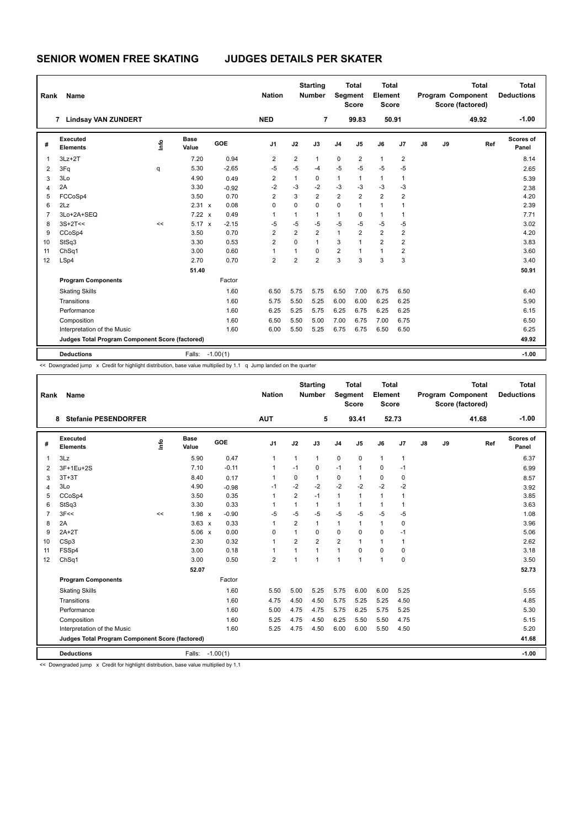| Rank           | Name                                            |         |                      |            | <b>Nation</b>  |                | <b>Starting</b><br><b>Number</b> |                | <b>Total</b><br>Segment<br><b>Score</b> | Total<br>Element<br><b>Score</b> |                |    |    | <b>Total</b><br><b>Program Component</b><br>Score (factored) | <b>Total</b><br><b>Deductions</b> |
|----------------|-------------------------------------------------|---------|----------------------|------------|----------------|----------------|----------------------------------|----------------|-----------------------------------------|----------------------------------|----------------|----|----|--------------------------------------------------------------|-----------------------------------|
|                | 7 Lindsay VAN ZUNDERT                           |         |                      |            | <b>NED</b>     |                | 7                                |                | 99.83                                   |                                  | 50.91          |    |    | 49.92                                                        | $-1.00$                           |
| #              | Executed<br><b>Elements</b>                     | ١f٥     | <b>Base</b><br>Value | GOE        | J <sub>1</sub> | J2             | J3                               | J <sub>4</sub> | J <sub>5</sub>                          | J6                               | J7             | J8 | J9 | Ref                                                          | Scores of<br>Panel                |
| -1             | $3Lz + 2T$                                      |         | 7.20                 | 0.94       | 2              | 2              | $\mathbf{1}$                     | 0              | 2                                       | $\mathbf{1}$                     | 2              |    |    |                                                              | 8.14                              |
| $\overline{2}$ | 3Fq                                             | q       | 5.30                 | $-2.65$    | $-5$           | $-5$           | $-4$                             | $-5$           | $-5$                                    | $-5$                             | $-5$           |    |    |                                                              | 2.65                              |
| 3              | 3Lo                                             |         | 4.90                 | 0.49       | 2              | $\mathbf{1}$   | 0                                | $\mathbf{1}$   | $\mathbf{1}$                            | $\mathbf{1}$                     | $\mathbf{1}$   |    |    |                                                              | 5.39                              |
| 4              | 2A                                              |         | 3.30                 | $-0.92$    | $-2$           | $-3$           | $-2$                             | $-3$           | $-3$                                    | $-3$                             | $-3$           |    |    |                                                              | 2.38                              |
| 5              | FCCoSp4                                         |         | 3.50                 | 0.70       | $\overline{2}$ | 3              | $\overline{2}$                   | $\overline{2}$ | $\overline{2}$                          | $\overline{2}$                   | $\overline{2}$ |    |    |                                                              | 4.20                              |
| 6              | 2Lz                                             |         | 2.31 x               | 0.08       | $\mathbf 0$    | 0              | $\mathbf 0$                      | $\mathbf 0$    | $\overline{1}$                          | $\mathbf{1}$                     | 1              |    |    |                                                              | 2.39                              |
| $\overline{7}$ | 3Lo+2A+SEQ                                      |         | $7.22 \times$        | 0.49       | 1              | $\mathbf{1}$   | $\mathbf{1}$                     | $\mathbf{1}$   | $\Omega$                                | $\mathbf{1}$                     | $\mathbf{1}$   |    |    |                                                              | 7.71                              |
| 8              | $3S+2T<<$                                       | $\prec$ | $5.17 \times$        | $-2.15$    | $-5$           | $-5$           | $-5$                             | $-5$           | $-5$                                    | $-5$                             | $-5$           |    |    |                                                              | 3.02                              |
| 9              | CCoSp4                                          |         | 3.50                 | 0.70       | $\overline{2}$ | $\overline{2}$ | $\overline{2}$                   | $\mathbf{1}$   | $\overline{2}$                          | $\overline{2}$                   | $\overline{2}$ |    |    |                                                              | 4.20                              |
| 10             | StSq3                                           |         | 3.30                 | 0.53       | $\overline{2}$ | $\Omega$       | $\mathbf{1}$                     | 3              | 1                                       | $\overline{2}$                   | 2              |    |    |                                                              | 3.83                              |
| 11             | ChSq1                                           |         | 3.00                 | 0.60       | $\overline{1}$ | $\overline{1}$ | $\Omega$                         | $\overline{2}$ | 1                                       | $\mathbf{1}$                     | $\overline{2}$ |    |    |                                                              | 3.60                              |
| 12             | LSp4                                            |         | 2.70                 | 0.70       | $\overline{2}$ | $\overline{2}$ | $\overline{2}$                   | 3              | 3                                       | 3                                | 3              |    |    |                                                              | 3.40                              |
|                |                                                 |         | 51.40                |            |                |                |                                  |                |                                         |                                  |                |    |    |                                                              | 50.91                             |
|                | <b>Program Components</b>                       |         |                      | Factor     |                |                |                                  |                |                                         |                                  |                |    |    |                                                              |                                   |
|                | <b>Skating Skills</b>                           |         |                      | 1.60       | 6.50           | 5.75           | 5.75                             | 6.50           | 7.00                                    | 6.75                             | 6.50           |    |    |                                                              | 6.40                              |
|                | Transitions                                     |         |                      | 1.60       | 5.75           | 5.50           | 5.25                             | 6.00           | 6.00                                    | 6.25                             | 6.25           |    |    |                                                              | 5.90                              |
|                | Performance                                     |         |                      | 1.60       | 6.25           | 5.25           | 5.75                             | 6.25           | 6.75                                    | 6.25                             | 6.25           |    |    |                                                              | 6.15                              |
|                | Composition                                     |         |                      | 1.60       | 6.50           | 5.50           | 5.00                             | 7.00           | 6.75                                    | 7.00                             | 6.75           |    |    |                                                              | 6.50                              |
|                | Interpretation of the Music                     |         |                      | 1.60       | 6.00           | 5.50           | 5.25                             | 6.75           | 6.75                                    | 6.50                             | 6.50           |    |    |                                                              | 6.25                              |
|                | Judges Total Program Component Score (factored) |         |                      |            |                |                |                                  |                |                                         |                                  |                |    |    |                                                              | 49.92                             |
|                | <b>Deductions</b>                               |         | Falls:               | $-1.00(1)$ |                |                |                                  |                |                                         |                                  |                |    |    |                                                              | $-1.00$                           |

<< Downgraded jump x Credit for highlight distribution, base value multiplied by 1.1 q Jump landed on the quarter

| Rank           | Name                                            |      |                      |            | <b>Nation</b>  |                | <b>Starting</b><br><b>Number</b> | Segment        | <b>Total</b><br><b>Score</b> | <b>Total</b><br>Element<br><b>Score</b> |                |               |    | <b>Total</b><br>Program Component<br>Score (factored) | Total<br><b>Deductions</b> |
|----------------|-------------------------------------------------|------|----------------------|------------|----------------|----------------|----------------------------------|----------------|------------------------------|-----------------------------------------|----------------|---------------|----|-------------------------------------------------------|----------------------------|
|                | <b>Stefanie PESENDORFER</b><br>8.               |      |                      |            | <b>AUT</b>     |                | 5                                |                | 93.41                        |                                         | 52.73          |               |    | 41.68                                                 | $-1.00$                    |
| #              | Executed<br><b>Elements</b>                     | lnfo | <b>Base</b><br>Value | GOE        | J <sub>1</sub> | J2             | J3                               | J <sub>4</sub> | J <sub>5</sub>               | J6                                      | J <sub>7</sub> | $\mathsf{J}8$ | J9 | Ref                                                   | Scores of<br>Panel         |
| 1              | 3Lz                                             |      | 5.90                 | 0.47       | $\overline{1}$ | 1              | $\mathbf{1}$                     | $\pmb{0}$      | $\mathbf 0$                  | $\mathbf{1}$                            | $\mathbf{1}$   |               |    |                                                       | 6.37                       |
| $\overline{2}$ | 3F+1Eu+2S                                       |      | 7.10                 | $-0.11$    | $\mathbf{1}$   | $-1$           | 0                                | $-1$           | $\mathbf{1}$                 | $\Omega$                                | $-1$           |               |    |                                                       | 6.99                       |
| 3              | $3T+3T$                                         |      | 8.40                 | 0.17       | $\overline{1}$ | 0              | $\mathbf{1}$                     | 0              | $\mathbf{1}$                 | 0                                       | $\mathbf 0$    |               |    |                                                       | 8.57                       |
| 4              | 3Lo                                             |      | 4.90                 | $-0.98$    | $-1$           | $-2$           | $-2$                             | $-2$           | $-2$                         | $-2$                                    | $-2$           |               |    |                                                       | 3.92                       |
| 5              | CCoSp4                                          |      | 3.50                 | 0.35       | $\overline{1}$ | 2              | $-1$                             | $\mathbf{1}$   | $\mathbf{1}$                 | $\mathbf{1}$                            | $\overline{1}$ |               |    |                                                       | 3.85                       |
| 6              | StSq3                                           |      | 3.30                 | 0.33       | -1             | 1              | $\mathbf{1}$                     | $\mathbf{1}$   | 1                            | $\mathbf{1}$                            | $\overline{1}$ |               |    |                                                       | 3.63                       |
| 7              | 3F<<                                            | <<   | $1.98 \times$        | $-0.90$    | $-5$           | $-5$           | $-5$                             | $-5$           | $-5$                         | $-5$                                    | $-5$           |               |    |                                                       | 1.08                       |
| 8              | 2A                                              |      | $3.63 \times$        | 0.33       | $\overline{1}$ | $\overline{2}$ | $\mathbf{1}$                     | $\mathbf{1}$   | 1                            | $\mathbf{1}$                            | 0              |               |    |                                                       | 3.96                       |
| 9              | $2A+2T$                                         |      | $5.06 \times$        | 0.00       | $\mathbf 0$    | $\mathbf{1}$   | $\Omega$                         | $\mathbf 0$    | $\Omega$                     | 0                                       | $-1$           |               |    |                                                       | 5.06                       |
| 10             | CSp3                                            |      | 2.30                 | 0.32       | $\overline{1}$ | $\overline{2}$ | $\overline{2}$                   | $\overline{2}$ | $\mathbf{1}$                 | $\mathbf{1}$                            | $\overline{1}$ |               |    |                                                       | 2.62                       |
| 11             | FSSp4                                           |      | 3.00                 | 0.18       | 1              | 1              | $\mathbf{1}$                     | $\mathbf{1}$   | $\mathbf 0$                  | 0                                       | $\mathbf 0$    |               |    |                                                       | 3.18                       |
| 12             | ChSq1                                           |      | 3.00                 | 0.50       | $\overline{2}$ | 1              | $\overline{1}$                   | $\overline{1}$ | 1                            | 1                                       | $\mathbf 0$    |               |    |                                                       | 3.50                       |
|                |                                                 |      | 52.07                |            |                |                |                                  |                |                              |                                         |                |               |    |                                                       | 52.73                      |
|                | <b>Program Components</b>                       |      |                      | Factor     |                |                |                                  |                |                              |                                         |                |               |    |                                                       |                            |
|                | <b>Skating Skills</b>                           |      |                      | 1.60       | 5.50           | 5.00           | 5.25                             | 5.75           | 6.00                         | 6.00                                    | 5.25           |               |    |                                                       | 5.55                       |
|                | Transitions                                     |      |                      | 1.60       | 4.75           | 4.50           | 4.50                             | 5.75           | 5.25                         | 5.25                                    | 4.50           |               |    |                                                       | 4.85                       |
|                | Performance                                     |      |                      | 1.60       | 5.00           | 4.75           | 4.75                             | 5.75           | 6.25                         | 5.75                                    | 5.25           |               |    |                                                       | 5.30                       |
|                | Composition                                     |      |                      | 1.60       | 5.25           | 4.75           | 4.50                             | 6.25           | 5.50                         | 5.50                                    | 4.75           |               |    |                                                       | 5.15                       |
|                | Interpretation of the Music                     |      |                      | 1.60       | 5.25           | 4.75           | 4.50                             | 6.00           | 6.00                         | 5.50                                    | 4.50           |               |    |                                                       | 5.20                       |
|                | Judges Total Program Component Score (factored) |      |                      |            |                |                |                                  |                |                              |                                         |                |               |    |                                                       | 41.68                      |
|                | <b>Deductions</b>                               |      | Falls:               | $-1.00(1)$ |                |                |                                  |                |                              |                                         |                |               |    |                                                       | $-1.00$                    |

<< Downgraded jump x Credit for highlight distribution, base value multiplied by 1.1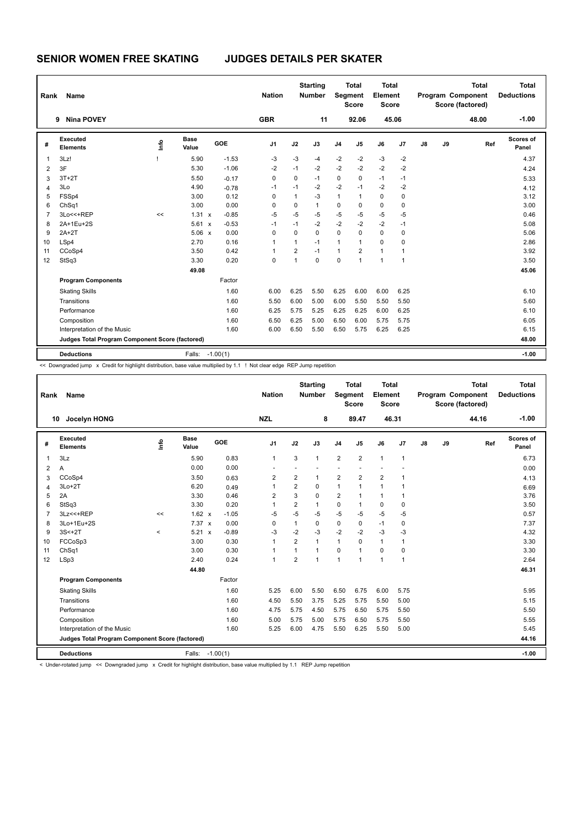| Name                        |           |                      |                                                 | <b>Nation</b>                                          |                |              |                                  |          |                                                  |                |                                                  |    | <b>Total</b> | <b>Total</b><br><b>Deductions</b>            |
|-----------------------------|-----------|----------------------|-------------------------------------------------|--------------------------------------------------------|----------------|--------------|----------------------------------|----------|--------------------------------------------------|----------------|--------------------------------------------------|----|--------------|----------------------------------------------|
| <b>Nina POVEY</b>           |           |                      |                                                 | <b>GBR</b>                                             |                | 11           |                                  |          |                                                  |                |                                                  |    | 48.00        | $-1.00$                                      |
| Executed<br><b>Elements</b> | lnfo      | <b>Base</b><br>Value | GOE                                             | J <sub>1</sub>                                         | J2             | J3           | J <sub>4</sub>                   | J5       | J6                                               | J <sub>7</sub> | $\mathsf{J}8$                                    | J9 |              | Scores of<br>Panel                           |
| 3Lz!                        |           | 5.90                 | $-1.53$                                         | $-3$                                                   | $-3$           | -4           | $-2$                             | $-2$     | $-3$                                             | $-2$           |                                                  |    |              | 4.37                                         |
| 3F                          |           | 5.30                 | $-1.06$                                         | $-2$                                                   | $-1$           | $-2$         | $-2$                             | $-2$     | $-2$                                             | $-2$           |                                                  |    |              | 4.24                                         |
| $3T+2T$                     |           | 5.50                 | $-0.17$                                         | $\Omega$                                               | $\Omega$       | $-1$         | 0                                | $\Omega$ | $-1$                                             | $-1$           |                                                  |    |              | 5.33                                         |
| 3Lo                         |           | 4.90                 | $-0.78$                                         | $-1$                                                   | $-1$           | $-2$         | $-2$                             | $-1$     | $-2$                                             | $-2$           |                                                  |    |              | 4.12                                         |
| FSSp4                       |           | 3.00                 | 0.12                                            | 0                                                      | $\mathbf{1}$   | -3           | $\mathbf{1}$                     | 1        | $\Omega$                                         | 0              |                                                  |    |              | 3.12                                         |
| ChSq1                       |           | 3.00                 | 0.00                                            | 0                                                      | $\mathbf 0$    | $\mathbf{1}$ | $\pmb{0}$                        | $\Omega$ | $\mathbf 0$                                      | $\mathbf 0$    |                                                  |    |              | 3.00                                         |
| 3Lo<<+REP                   | <<        |                      | $-0.85$                                         | $-5$                                                   | $-5$           | $-5$         | $-5$                             | $-5$     | $-5$                                             | $-5$           |                                                  |    |              | 0.46                                         |
| 2A+1Eu+2S                   |           |                      | $-0.53$                                         | $-1$                                                   | $-1$           | $-2$         | $-2$                             | $-2$     | $-2$                                             | $-1$           |                                                  |    |              | 5.08                                         |
| $2A+2T$                     |           |                      | 0.00                                            | 0                                                      | $\Omega$       | $\Omega$     | $\Omega$                         | $\Omega$ | $\Omega$                                         | 0              |                                                  |    |              | 5.06                                         |
| LSp4                        |           | 2.70                 | 0.16                                            | 1                                                      | $\mathbf{1}$   | $-1$         | 1                                | 1        | $\Omega$                                         | $\Omega$       |                                                  |    |              | 2.86                                         |
| CCoSp4                      |           | 3.50                 | 0.42                                            | 1                                                      | $\overline{2}$ | $-1$         | 1                                | 2        | $\mathbf{1}$                                     | 1              |                                                  |    |              | 3.92                                         |
| StSq3                       |           | 3.30                 | 0.20                                            | 0                                                      | $\mathbf{1}$   | $\mathbf 0$  | $\mathbf 0$                      | 1        | $\overline{1}$                                   | $\mathbf{1}$   |                                                  |    |              | 3.50                                         |
|                             |           | 49.08                |                                                 |                                                        |                |              |                                  |          |                                                  |                |                                                  |    |              | 45.06                                        |
| <b>Program Components</b>   |           |                      | Factor                                          |                                                        |                |              |                                  |          |                                                  |                |                                                  |    |              |                                              |
| <b>Skating Skills</b>       |           |                      | 1.60                                            | 6.00                                                   | 6.25           | 5.50         | 6.25                             | 6.00     | 6.00                                             | 6.25           |                                                  |    |              | 6.10                                         |
| Transitions                 |           |                      | 1.60                                            | 5.50                                                   | 6.00           | 5.00         | 6.00                             | 5.50     | 5.50                                             | 5.50           |                                                  |    |              | 5.60                                         |
| Performance                 |           |                      | 1.60                                            | 6.25                                                   | 5.75           | 5.25         | 6.25                             | 6.25     | 6.00                                             | 6.25           |                                                  |    |              | 6.10                                         |
| Composition                 |           |                      | 1.60                                            | 6.50                                                   | 6.25           | 5.00         | 6.50                             | 6.00     | 5.75                                             | 5.75           |                                                  |    |              | 6.05                                         |
| Interpretation of the Music |           |                      | 1.60                                            | 6.00                                                   | 6.50           | 5.50         | 6.50                             | 5.75     | 6.25                                             | 6.25           |                                                  |    |              | 6.15                                         |
|                             |           |                      |                                                 |                                                        |                |              |                                  |          |                                                  |                |                                                  |    |              | 48.00                                        |
| <b>Deductions</b>           |           | Falls:               |                                                 |                                                        |                |              |                                  |          |                                                  |                |                                                  |    |              | $-1.00$                                      |
|                             | Rank<br>9 |                      | Judges Total Program Component Score (factored) | 1.31 x<br>$5.61 \times$<br>$5.06 \times$<br>$-1.00(1)$ |                |              | <b>Starting</b><br><b>Number</b> |          | <b>Total</b><br>Segment<br><b>Score</b><br>92.06 |                | <b>Total</b><br>Element<br><b>Score</b><br>45.06 |    |              | Program Component<br>Score (factored)<br>Ref |

<< Downgraded jump x Credit for highlight distribution, base value multiplied by 1.1 ! Not clear edge REP Jump repetition

| Rank           | Name                                            |         |                      |         | <b>Nation</b>  |                | <b>Starting</b><br><b>Number</b> | Segment        | <b>Total</b><br><b>Score</b> | <b>Total</b><br>Element<br><b>Score</b> |                |               |    | <b>Total</b><br>Program Component<br>Score (factored) | <b>Total</b><br><b>Deductions</b> |
|----------------|-------------------------------------------------|---------|----------------------|---------|----------------|----------------|----------------------------------|----------------|------------------------------|-----------------------------------------|----------------|---------------|----|-------------------------------------------------------|-----------------------------------|
|                | Jocelyn HONG<br>10                              |         |                      |         | <b>NZL</b>     |                | 8                                |                | 89.47                        | 46.31                                   |                |               |    | 44.16                                                 | $-1.00$                           |
| #              | Executed<br><b>Elements</b>                     | ١nf٥    | <b>Base</b><br>Value | GOE     | J <sub>1</sub> | J2             | J3                               | J <sub>4</sub> | J5                           | J6                                      | J7             | $\mathsf{J}8$ | J9 | Ref                                                   | Scores of<br>Panel                |
| 1              | 3Lz                                             |         | 5.90                 | 0.83    | $\mathbf{1}$   | 3              | $\mathbf{1}$                     | $\overline{2}$ | $\overline{2}$               | $\mathbf{1}$                            | $\mathbf{1}$   |               |    |                                                       | 6.73                              |
| $\overline{2}$ | Α                                               |         | 0.00                 | 0.00    |                |                |                                  |                |                              |                                         |                |               |    |                                                       | 0.00                              |
| 3              | CCoSp4                                          |         | 3.50                 | 0.63    | 2              | $\overline{2}$ | 1                                | $\overline{2}$ | $\overline{2}$               | $\overline{2}$                          | $\overline{1}$ |               |    |                                                       | 4.13                              |
| 4              | $3Lo+2T$                                        |         | 6.20                 | 0.49    | $\overline{1}$ | $\overline{2}$ | 0                                | $\mathbf{1}$   | 1                            | $\mathbf{1}$                            | $\mathbf{1}$   |               |    |                                                       | 6.69                              |
| 5              | 2A                                              |         | 3.30                 | 0.46    | 2              | 3              | 0                                | $\overline{2}$ | $\mathbf{1}$                 | $\mathbf{1}$                            | 1              |               |    |                                                       | 3.76                              |
| 6              | StSq3                                           |         | 3.30                 | 0.20    | $\overline{1}$ | $\overline{2}$ | 1                                | $\mathbf 0$    | $\mathbf{1}$                 | $\mathbf 0$                             | 0              |               |    |                                                       | 3.50                              |
| $\overline{7}$ | 3Lz << + REP                                    | <<      | $1.62 \times$        | $-1.05$ | $-5$           | $-5$           | $-5$                             | $-5$           | $-5$                         | $-5$                                    | $-5$           |               |    |                                                       | 0.57                              |
| 8              | 3Lo+1Eu+2S                                      |         | $7.37 \times$        | 0.00    | $\Omega$       | $\mathbf{1}$   | $\Omega$                         | $\mathbf 0$    | $\Omega$                     | $-1$                                    | 0              |               |    |                                                       | 7.37                              |
| 9              | $3S<+2T$                                        | $\prec$ | $5.21 \times$        | $-0.89$ | -3             | $-2$           | $-3$                             | $-2$           | $-2$                         | $-3$                                    | -3             |               |    |                                                       | 4.32                              |
| 10             | FCCoSp3                                         |         | 3.00                 | 0.30    | $\mathbf{1}$   | $\overline{2}$ | 1                                | $\mathbf{1}$   | $\mathbf 0$                  | $\mathbf{1}$                            | $\mathbf{1}$   |               |    |                                                       | 3.30                              |
| 11             | Ch <sub>Sq1</sub>                               |         | 3.00                 | 0.30    | $\overline{1}$ | 1              | 1                                | 0              | $\mathbf{1}$                 | 0                                       | 0              |               |    |                                                       | 3.30                              |
| 12             | LSp3                                            |         | 2.40                 | 0.24    | $\mathbf{1}$   | $\overline{2}$ | 1                                | $\overline{1}$ | $\mathbf{1}$                 | $\mathbf{1}$                            | $\mathbf{1}$   |               |    |                                                       | 2.64                              |
|                |                                                 |         | 44.80                |         |                |                |                                  |                |                              |                                         |                |               |    |                                                       | 46.31                             |
|                | <b>Program Components</b>                       |         |                      | Factor  |                |                |                                  |                |                              |                                         |                |               |    |                                                       |                                   |
|                | <b>Skating Skills</b>                           |         |                      | 1.60    | 5.25           | 6.00           | 5.50                             | 6.50           | 6.75                         | 6.00                                    | 5.75           |               |    |                                                       | 5.95                              |
|                | Transitions                                     |         |                      | 1.60    | 4.50           | 5.50           | 3.75                             | 5.25           | 5.75                         | 5.50                                    | 5.00           |               |    |                                                       | 5.15                              |
|                | Performance                                     |         |                      | 1.60    | 4.75           | 5.75           | 4.50                             | 5.75           | 6.50                         | 5.75                                    | 5.50           |               |    |                                                       | 5.50                              |
|                | Composition                                     |         |                      | 1.60    | 5.00           | 5.75           | 5.00                             | 5.75           | 6.50                         | 5.75                                    | 5.50           |               |    |                                                       | 5.55                              |
|                | Interpretation of the Music                     |         |                      | 1.60    | 5.25           | 6.00           | 4.75                             | 5.50           | 6.25                         | 5.50                                    | 5.00           |               |    |                                                       | 5.45                              |
|                | Judges Total Program Component Score (factored) |         |                      |         |                |                |                                  |                |                              |                                         |                |               |    |                                                       | 44.16                             |
|                | <b>Deductions</b>                               |         | Falls: -1.00(1)      |         |                |                |                                  |                |                              |                                         |                |               |    |                                                       | $-1.00$                           |

< Under-rotated jump << Downgraded jump x Credit for highlight distribution, base value multiplied by 1.1 REP Jump repetition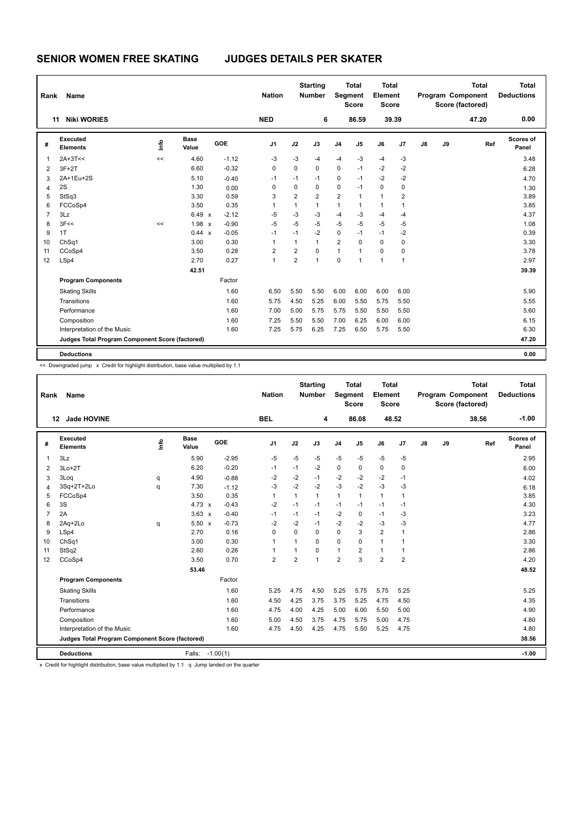| Rank           | <b>Name</b>                                     |      |                      |         | <b>Nation</b>  |                | <b>Starting</b><br><b>Number</b> |                | <b>Total</b><br>Segment<br><b>Score</b> | <b>Total</b><br>Element<br><b>Score</b> |       |    |    | <b>Total</b><br><b>Program Component</b><br>Score (factored) | <b>Total</b><br><b>Deductions</b> |
|----------------|-------------------------------------------------|------|----------------------|---------|----------------|----------------|----------------------------------|----------------|-----------------------------------------|-----------------------------------------|-------|----|----|--------------------------------------------------------------|-----------------------------------|
|                | <b>Niki WORIES</b><br>11                        |      |                      |         | <b>NED</b>     |                | 6                                |                | 86.59                                   |                                         | 39.39 |    |    | 47.20                                                        | 0.00                              |
| #              | Executed<br><b>Elements</b>                     | lnfo | <b>Base</b><br>Value | GOE     | J <sub>1</sub> | J2             | J3                               | J <sub>4</sub> | J <sub>5</sub>                          | J6                                      | J7    | J8 | J9 | Ref                                                          | Scores of<br>Panel                |
| $\overline{1}$ | $2A+3T<<$                                       | <<   | 4.60                 | $-1.12$ | $-3$           | $-3$           | $-4$                             | $-4$           | $-3$                                    | $-4$                                    | $-3$  |    |    |                                                              | 3.48                              |
| $\overline{2}$ | $3F+2T$                                         |      | 6.60                 | $-0.32$ | 0              | 0              | $\mathbf 0$                      | $\mathbf 0$    | $-1$                                    | $-2$                                    | $-2$  |    |    |                                                              | 6.28                              |
| 3              | 2A+1Eu+2S                                       |      | 5.10                 | $-0.40$ | $-1$           | $-1$           | $-1$                             | 0              | $-1$                                    | $-2$                                    | $-2$  |    |    |                                                              | 4.70                              |
| 4              | 2S                                              |      | 1.30                 | 0.00    | 0              | $\mathbf 0$    | $\Omega$                         | 0              | $-1$                                    | $\Omega$                                | 0     |    |    |                                                              | 1.30                              |
| 5              | StSq3                                           |      | 3.30                 | 0.59    | 3              | $\overline{2}$ | $\overline{2}$                   | $\overline{2}$ | $\overline{1}$                          | $\mathbf{1}$                            | 2     |    |    |                                                              | 3.89                              |
| 6              | FCCoSp4                                         |      | 3.50                 | 0.35    | 1              | $\overline{1}$ | $\mathbf{1}$                     | 1              | 1                                       | $\mathbf{1}$                            | 1     |    |    |                                                              | 3.85                              |
| $\overline{7}$ | 3Lz                                             |      | $6.49 \times$        | $-2.12$ | $-5$           | $-3$           | -3                               | $-4$           | $-3$                                    | $-4$                                    | $-4$  |    |    |                                                              | 4.37                              |
| 8              | 3F<<                                            | <<   | $1.98 \times$        | $-0.90$ | $-5$           | $-5$           | $-5$                             | $-5$           | $-5$                                    | $-5$                                    | $-5$  |    |    |                                                              | 1.08                              |
| 9              | 1T                                              |      | $0.44 \times$        | $-0.05$ | $-1$           | $-1$           | $-2$                             | $\mathbf 0$    | $-1$                                    | $-1$                                    | $-2$  |    |    |                                                              | 0.39                              |
| 10             | ChSq1                                           |      | 3.00                 | 0.30    | 1              | 1              | $\mathbf{1}$                     | $\overline{2}$ | $\Omega$                                | $\mathbf 0$                             | 0     |    |    |                                                              | 3.30                              |
| 11             | CCoSp4                                          |      | 3.50                 | 0.28    | 2              | 2              | 0                                | $\mathbf{1}$   | $\overline{1}$                          | 0                                       | 0     |    |    |                                                              | 3.78                              |
| 12             | LSp4                                            |      | 2.70                 | 0.27    | 1              | $\overline{2}$ | $\mathbf{1}$                     | $\Omega$       | $\overline{1}$                          | $\mathbf{1}$                            | 1     |    |    |                                                              | 2.97                              |
|                |                                                 |      | 42.51                |         |                |                |                                  |                |                                         |                                         |       |    |    |                                                              | 39.39                             |
|                | <b>Program Components</b>                       |      |                      | Factor  |                |                |                                  |                |                                         |                                         |       |    |    |                                                              |                                   |
|                | <b>Skating Skills</b>                           |      |                      | 1.60    | 6.50           | 5.50           | 5.50                             | 6.00           | 6.00                                    | 6.00                                    | 6.00  |    |    |                                                              | 5.90                              |
|                | Transitions                                     |      |                      | 1.60    | 5.75           | 4.50           | 5.25                             | 6.00           | 5.50                                    | 5.75                                    | 5.50  |    |    |                                                              | 5.55                              |
|                | Performance                                     |      |                      | 1.60    | 7.00           | 5.00           | 5.75                             | 5.75           | 5.50                                    | 5.50                                    | 5.50  |    |    |                                                              | 5.60                              |
|                | Composition                                     |      |                      | 1.60    | 7.25           | 5.50           | 5.50                             | 7.00           | 6.25                                    | 6.00                                    | 6.00  |    |    |                                                              | 6.15                              |
|                | Interpretation of the Music                     |      |                      | 1.60    | 7.25           | 5.75           | 6.25                             | 7.25           | 6.50                                    | 5.75                                    | 5.50  |    |    |                                                              | 6.30                              |
|                | Judges Total Program Component Score (factored) |      |                      |         |                |                |                                  |                |                                         |                                         |       |    |    |                                                              | 47.20                             |
|                | <b>Deductions</b>                               |      |                      |         |                |                |                                  |                |                                         |                                         |       |    |    |                                                              | 0.00                              |

<< Downgraded jump x Credit for highlight distribution, base value multiplied by 1.1

| Rank           | Name                                            |      |                      |            | <b>Nation</b>  |                | <b>Starting</b><br><b>Number</b> | Segment        | <b>Total</b><br><b>Score</b> | Total<br>Element<br><b>Score</b> |                |    |    | <b>Total</b><br>Program Component<br>Score (factored) | <b>Total</b><br><b>Deductions</b> |
|----------------|-------------------------------------------------|------|----------------------|------------|----------------|----------------|----------------------------------|----------------|------------------------------|----------------------------------|----------------|----|----|-------------------------------------------------------|-----------------------------------|
|                | Jade HOVINE<br>12                               |      |                      |            | <b>BEL</b>     |                | 4                                |                | 86.08                        |                                  | 48.52          |    |    | 38.56                                                 | $-1.00$                           |
| #              | <b>Executed</b><br><b>Elements</b>              | Lnfo | <b>Base</b><br>Value | GOE        | J <sub>1</sub> | J2             | J3                               | J <sub>4</sub> | J5                           | J6                               | J7             | J8 | J9 | Ref                                                   | Scores of<br>Panel                |
| $\overline{1}$ | 3Lz                                             |      | 5.90                 | $-2.95$    | $-5$           | $-5$           | $-5$                             | -5             | $-5$                         | $-5$                             | $-5$           |    |    |                                                       | 2.95                              |
| 2              | $3Lo+2T$                                        |      | 6.20                 | $-0.20$    | $-1$           | $-1$           | $-2$                             | 0              | 0                            | $\mathbf 0$                      | $\mathbf 0$    |    |    |                                                       | 6.00                              |
| 3              | 3Loq                                            | q    | 4.90                 | $-0.88$    | $-2$           | $-2$           | $-1$                             | $-2$           | $-2$                         | $-2$                             | $-1$           |    |    |                                                       | 4.02                              |
| $\overline{4}$ | 3Sq+2T+2Lo                                      | q    | 7.30                 | $-1.12$    | $-3$           | $-2$           | $-2$                             | $-3$           | $-2$                         | $-3$                             | $-3$           |    |    |                                                       | 6.18                              |
| 5              | FCCoSp4                                         |      | 3.50                 | 0.35       | $\mathbf{1}$   | $\mathbf{1}$   | $\mathbf{1}$                     | $\mathbf{1}$   | $\mathbf{1}$                 | $\mathbf{1}$                     | $\mathbf{1}$   |    |    |                                                       | 3.85                              |
| 6              | 3S                                              |      | 4.73 $\times$        | $-0.43$    | $-2$           | $-1$           | $-1$                             | $-1$           | $-1$                         | $-1$                             | $-1$           |    |    |                                                       | 4.30                              |
| $\overline{7}$ | 2A                                              |      | $3.63 \times$        | $-0.40$    | $-1$           | $-1$           | $-1$                             | $-2$           | 0                            | $-1$                             | $-3$           |    |    |                                                       | 3.23                              |
| 8              | 2Aq+2Lo                                         | q    | $5.50 \times$        | $-0.73$    | $-2$           | $-2$           | $-1$                             | $-2$           | $-2$                         | $-3$                             | $-3$           |    |    |                                                       | 4.77                              |
| 9              | LSp4                                            |      | 2.70                 | 0.16       | $\Omega$       | $\Omega$       | $\Omega$                         | 0              | 3                            | $\overline{2}$                   | $\mathbf{1}$   |    |    |                                                       | 2.86                              |
| 10             | ChSq1                                           |      | 3.00                 | 0.30       | $\mathbf{1}$   | $\overline{1}$ | $\Omega$                         | $\mathbf 0$    | $\Omega$                     | $\mathbf{1}$                     | $\mathbf{1}$   |    |    |                                                       | 3.30                              |
| 11             | StSq2                                           |      | 2.60                 | 0.26       | 1              | 1              | $\Omega$                         | $\mathbf{1}$   | $\overline{2}$               | $\mathbf{1}$                     | $\mathbf{1}$   |    |    |                                                       | 2.86                              |
| 12             | CCoSp4                                          |      | 3.50                 | 0.70       | $\overline{2}$ | $\overline{2}$ | 1                                | $\overline{2}$ | 3                            | $\overline{2}$                   | $\overline{2}$ |    |    |                                                       | 4.20                              |
|                |                                                 |      | 53.46                |            |                |                |                                  |                |                              |                                  |                |    |    |                                                       | 48.52                             |
|                | <b>Program Components</b>                       |      |                      | Factor     |                |                |                                  |                |                              |                                  |                |    |    |                                                       |                                   |
|                | <b>Skating Skills</b>                           |      |                      | 1.60       | 5.25           | 4.75           | 4.50                             | 5.25           | 5.75                         | 5.75                             | 5.25           |    |    |                                                       | 5.25                              |
|                | Transitions                                     |      |                      | 1.60       | 4.50           | 4.25           | 3.75                             | 3.75           | 5.25                         | 4.75                             | 4.50           |    |    |                                                       | 4.35                              |
|                | Performance                                     |      |                      | 1.60       | 4.75           | 4.00           | 4.25                             | 5.00           | 6.00                         | 5.50                             | 5.00           |    |    |                                                       | 4.90                              |
|                | Composition                                     |      |                      | 1.60       | 5.00           | 4.50           | 3.75                             | 4.75           | 5.75                         | 5.00                             | 4.75           |    |    |                                                       | 4.80                              |
|                | Interpretation of the Music                     |      |                      | 1.60       | 4.75           | 4.50           | 4.25                             | 4.75           | 5.50                         | 5.25                             | 4.75           |    |    |                                                       | 4.80                              |
|                | Judges Total Program Component Score (factored) |      |                      |            |                |                |                                  |                |                              |                                  |                |    |    |                                                       | 38.56                             |
|                | <b>Deductions</b>                               |      | Falls:               | $-1.00(1)$ |                |                |                                  |                |                              |                                  |                |    |    |                                                       | $-1.00$                           |

x Credit for highlight distribution, base value multiplied by 1.1 q Jump landed on the quarter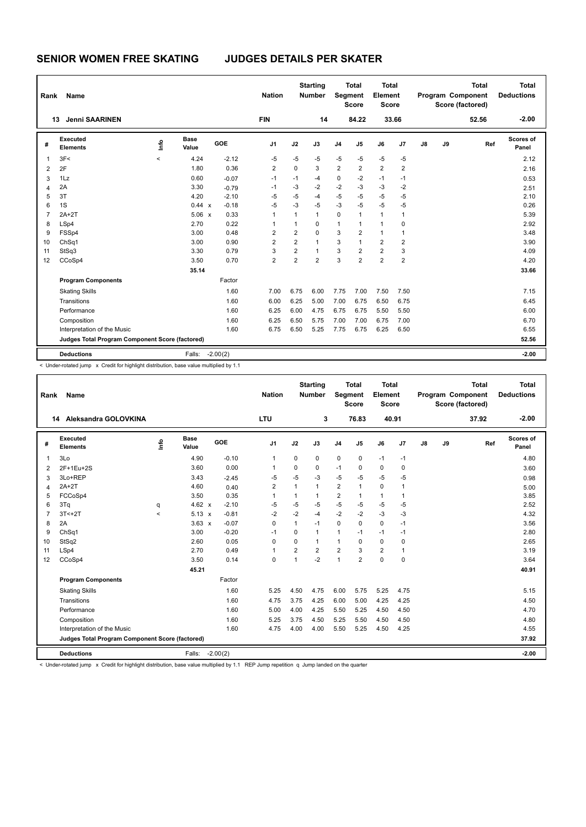| Rank           | Name                                                     |         |                      |            | <b>Nation</b>  |                | <b>Starting</b><br><b>Number</b> | <b>Segment</b> | <b>Total</b><br><b>Score</b> | <b>Total</b><br>Element<br><b>Score</b> |                |               |    | <b>Total</b><br>Program Component<br>Score (factored) | <b>Total</b><br><b>Deductions</b> |
|----------------|----------------------------------------------------------|---------|----------------------|------------|----------------|----------------|----------------------------------|----------------|------------------------------|-----------------------------------------|----------------|---------------|----|-------------------------------------------------------|-----------------------------------|
|                | <b>Jenni SAARINEN</b><br>13                              |         |                      |            | <b>FIN</b>     |                | 14                               |                | 84.22                        |                                         | 33.66          |               |    | 52.56                                                 | $-2.00$                           |
| #              | <b>Executed</b><br><b>Elements</b>                       | ١mfo    | <b>Base</b><br>Value | GOE        | J <sub>1</sub> | J2             | J3                               | J <sub>4</sub> | J <sub>5</sub>               | J6                                      | J <sub>7</sub> | $\mathsf{J}8$ | J9 | Ref                                                   | Scores of<br>Panel                |
| 1              | 3F<                                                      | $\prec$ | 4.24                 | $-2.12$    | $-5$           | $-5$           | $-5$                             | $-5$           | $-5$                         | $-5$                                    | $-5$           |               |    |                                                       | 2.12                              |
| 2              | 2F                                                       |         | 1.80                 | 0.36       | 2              | $\mathbf 0$    | 3                                | $\overline{2}$ | 2                            | $\overline{2}$                          | $\overline{2}$ |               |    |                                                       | 2.16                              |
| 3              | 1Lz                                                      |         | 0.60                 | $-0.07$    | $-1$           | $-1$           | -4                               | 0              | $-2$                         | $-1$                                    | $-1$           |               |    |                                                       | 0.53                              |
| 4              | 2A                                                       |         | 3.30                 | $-0.79$    | $-1$           | $-3$           | $-2$                             | $-2$           | $-3$                         | $-3$                                    | $-2$           |               |    |                                                       | 2.51                              |
| 5              | 3T                                                       |         | 4.20                 | $-2.10$    | $-5$           | $-5$           | -4                               | $-5$           | $-5$                         | -5                                      | $-5$           |               |    |                                                       | 2.10                              |
| 6              | 1S                                                       |         | 0.44 x               | $-0.18$    | $-5$           | $-3$           | $-5$                             | $-3$           | $-5$                         | $-5$                                    | $-5$           |               |    |                                                       | 0.26                              |
| $\overline{7}$ | $2A+2T$                                                  |         | $5.06 \times$        | 0.33       | 1              | 1              | $\mathbf{1}$                     | $\mathbf 0$    | $\mathbf{1}$                 | $\mathbf{1}$                            | 1              |               |    |                                                       | 5.39                              |
| 8              | LSp4                                                     |         | 2.70                 | 0.22       | 1              | 1              | 0                                | 1              | 1                            | $\mathbf{1}$                            | 0              |               |    |                                                       | 2.92                              |
| 9              | FSSp4                                                    |         | 3.00                 | 0.48       | $\overline{2}$ | $\overline{2}$ | $\Omega$                         | 3              | $\overline{2}$               | $\mathbf{1}$                            | 1              |               |    |                                                       | 3.48                              |
| 10             | ChSq1                                                    |         | 3.00                 | 0.90       | $\overline{2}$ | 2              | $\mathbf{1}$                     | 3              | $\mathbf{1}$                 | $\overline{2}$                          | $\overline{2}$ |               |    |                                                       | 3.90                              |
| 11             | StSq3                                                    |         | 3.30                 | 0.79       | 3              | $\overline{2}$ | $\mathbf{1}$                     | 3              | $\overline{2}$               | $\overline{2}$                          | 3              |               |    |                                                       | 4.09                              |
| 12             | CCoSp4                                                   |         | 3.50                 | 0.70       | $\overline{2}$ | $\overline{2}$ | $\overline{2}$                   | 3              | $\overline{2}$               | $\overline{2}$                          | $\overline{2}$ |               |    |                                                       | 4.20                              |
|                |                                                          |         | 35.14                |            |                |                |                                  |                |                              |                                         |                |               |    |                                                       | 33.66                             |
|                | <b>Program Components</b>                                |         |                      | Factor     |                |                |                                  |                |                              |                                         |                |               |    |                                                       |                                   |
|                | <b>Skating Skills</b>                                    |         |                      | 1.60       | 7.00           | 6.75           | 6.00                             | 7.75           | 7.00                         | 7.50                                    | 7.50           |               |    |                                                       | 7.15                              |
|                | Transitions                                              |         |                      | 1.60       | 6.00           | 6.25           | 5.00                             | 7.00           | 6.75                         | 6.50                                    | 6.75           |               |    |                                                       | 6.45                              |
|                | Performance                                              |         |                      | 1.60       | 6.25           | 6.00           | 4.75                             | 6.75           | 6.75                         | 5.50                                    | 5.50           |               |    |                                                       | 6.00                              |
|                | Composition                                              |         |                      | 1.60       | 6.25           | 6.50           | 5.75                             | 7.00           | 7.00                         | 6.75                                    | 7.00           |               |    |                                                       | 6.70                              |
|                | Interpretation of the Music                              |         |                      | 1.60       | 6.75           | 6.50           | 5.25                             | 7.75           | 6.75                         | 6.25                                    | 6.50           |               |    |                                                       | 6.55                              |
|                | Judges Total Program Component Score (factored)<br>52.56 |         |                      |            |                |                |                                  |                |                              |                                         |                |               |    |                                                       |                                   |
|                | <b>Deductions</b>                                        |         | Falls:               | $-2.00(2)$ |                |                |                                  |                |                              |                                         |                |               |    |                                                       | $-2.00$                           |

< Under-rotated jump x Credit for highlight distribution, base value multiplied by 1.1

| Rank                                                     | Name                        |          |                      |            | <b>Nation</b>  |                | <b>Starting</b><br><b>Number</b> | Segment        | <b>Total</b><br><b>Score</b> | Total<br>Element<br><b>Score</b> |      |    |    | <b>Total</b><br>Program Component<br>Score (factored) | <b>Total</b><br><b>Deductions</b> |
|----------------------------------------------------------|-----------------------------|----------|----------------------|------------|----------------|----------------|----------------------------------|----------------|------------------------------|----------------------------------|------|----|----|-------------------------------------------------------|-----------------------------------|
|                                                          | 14 Aleksandra GOLOVKINA     |          |                      |            | <b>LTU</b>     |                | 3                                |                | 76.83                        | 40.91                            |      |    |    | 37.92                                                 | $-2.00$                           |
| #                                                        | Executed<br><b>Elements</b> | <u>f</u> | <b>Base</b><br>Value | GOE        | J <sub>1</sub> | J2             | J3                               | J <sub>4</sub> | J5                           | J6                               | J7   | J8 | J9 | Ref                                                   | Scores of<br>Panel                |
| 1                                                        | 3Lo                         |          | 4.90                 | $-0.10$    | $\mathbf{1}$   | $\mathbf 0$    | 0                                | 0              | $\mathbf 0$                  | $-1$                             | $-1$ |    |    |                                                       | 4.80                              |
| 2                                                        | 2F+1Eu+2S                   |          | 3.60                 | 0.00       | 1              | 0              | 0                                | $-1$           | $\Omega$                     | 0                                | 0    |    |    |                                                       | 3.60                              |
| 3                                                        | 3Lo+REP                     |          | 3.43                 | $-2.45$    | $-5$           | $-5$           | $-3$                             | $-5$           | $-5$                         | $-5$                             | $-5$ |    |    |                                                       | 0.98                              |
| 4                                                        | $2A+2T$                     |          | 4.60                 | 0.40       | $\overline{2}$ | 1              | 1                                | 2              | 1                            | $\mathbf 0$                      | 1    |    |    |                                                       | 5.00                              |
| 5                                                        | FCCoSp4                     |          | 3.50                 | 0.35       | $\mathbf{1}$   | 1              | 1                                | $\overline{2}$ | 1                            | $\mathbf{1}$                     | 1    |    |    |                                                       | 3.85                              |
| 6                                                        | 3Tq                         | q        | 4.62 $x$             | $-2.10$    | $-5$           | $-5$           | $-5$                             | $-5$           | $-5$                         | $-5$                             | $-5$ |    |    |                                                       | 2.52                              |
| $\overline{7}$                                           | $3T < +2T$                  | $\prec$  | $5.13 \times$        | $-0.81$    | $-2$           | $-2$           | $-4$                             | $-2$           | $-2$                         | $-3$                             | $-3$ |    |    |                                                       | 4.32                              |
| 8                                                        | 2A                          |          | $3.63 \times$        | $-0.07$    | $\mathbf 0$    | 1              | $-1$                             | $\mathbf 0$    | 0                            | $\mathbf 0$                      | $-1$ |    |    |                                                       | 3.56                              |
| 9                                                        | ChSq1                       |          | 3.00                 | $-0.20$    | -1             | $\Omega$       | $\mathbf{1}$                     | $\mathbf{1}$   | $-1$                         | $-1$                             | $-1$ |    |    |                                                       | 2.80                              |
| 10                                                       | StSq2                       |          | 2.60                 | 0.05       | $\mathbf 0$    | 0              | 1                                | $\mathbf{1}$   | $\mathbf 0$                  | $\pmb{0}$                        | 0    |    |    |                                                       | 2.65                              |
| 11                                                       | LSp4                        |          | 2.70                 | 0.49       | $\mathbf{1}$   | $\overline{2}$ | $\overline{2}$                   | 2              | 3                            | $\overline{2}$                   | 1    |    |    |                                                       | 3.19                              |
| 12                                                       | CCoSp4                      |          | 3.50                 | 0.14       | $\mathbf 0$    | 1              | $-2$                             | $\mathbf{1}$   | $\overline{2}$               | $\Omega$                         | 0    |    |    |                                                       | 3.64                              |
|                                                          |                             |          | 45.21                |            |                |                |                                  |                |                              |                                  |      |    |    |                                                       | 40.91                             |
|                                                          | <b>Program Components</b>   |          |                      | Factor     |                |                |                                  |                |                              |                                  |      |    |    |                                                       |                                   |
|                                                          | <b>Skating Skills</b>       |          |                      | 1.60       | 5.25           | 4.50           | 4.75                             | 6.00           | 5.75                         | 5.25                             | 4.75 |    |    |                                                       | 5.15                              |
|                                                          | Transitions                 |          |                      | 1.60       | 4.75           | 3.75           | 4.25                             | 6.00           | 5.00                         | 4.25                             | 4.25 |    |    |                                                       | 4.50                              |
|                                                          | Performance                 |          |                      | 1.60       | 5.00           | 4.00           | 4.25                             | 5.50           | 5.25                         | 4.50                             | 4.50 |    |    |                                                       | 4.70                              |
|                                                          | Composition                 |          |                      | 1.60       | 5.25           | 3.75           | 4.50                             | 5.25           | 5.50                         | 4.50                             | 4.50 |    |    |                                                       | 4.80                              |
|                                                          | Interpretation of the Music |          |                      | 1.60       | 4.75           | 4.00           | 4.00                             | 5.50           | 5.25                         | 4.50                             | 4.25 |    |    |                                                       | 4.55                              |
| Judges Total Program Component Score (factored)<br>37.92 |                             |          |                      |            |                |                |                                  |                |                              |                                  |      |    |    |                                                       |                                   |
|                                                          | <b>Deductions</b>           |          | Falls:               | $-2.00(2)$ |                |                |                                  |                |                              |                                  |      |    |    |                                                       | $-2.00$                           |

< Under-rotated jump x Credit for highlight distribution, base value multiplied by 1.1 REP Jump repetition q Jump landed on the quarter